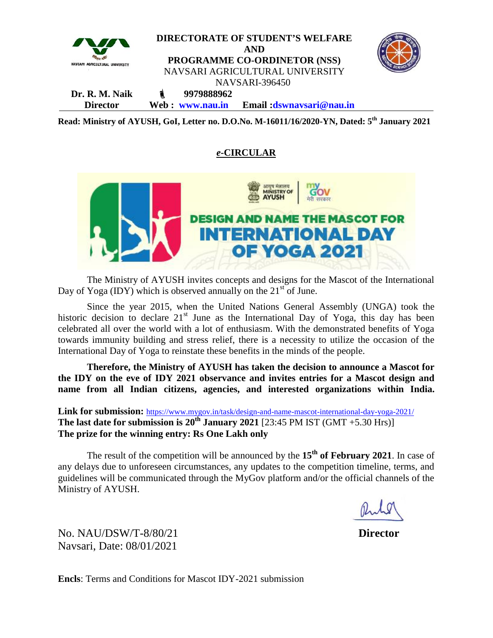

**Read: Ministry of AYUSH, GoI, Letter no. D.O.No. M-16011/16/2020-YN, Dated: 5th January 2021**

## *e***-CIRCULAR**



The Ministry of AYUSH invites concepts and designs for the Mascot of the International Day of Yoga (IDY) which is observed annually on the  $21<sup>st</sup>$  of June.

Since the year 2015, when the United Nations General Assembly (UNGA) took the historic decision to declare  $21<sup>st</sup>$  June as the International Day of Yoga, this day has been celebrated all over the world with a lot of enthusiasm. With the demonstrated benefits of Yoga towards immunity building and stress relief, there is a necessity to utilize the occasion of the International Day of Yoga to reinstate these benefits in the minds of the people.

**Therefore, the Ministry of AYUSH has taken the decision to announce a Mascot for the IDY on the eve of IDY 2021 observance and invites entries for a Mascot design and name from all Indian citizens, agencies, and interested organizations within India.**

**Link for submission:** https://www.mygov.in/task/design-and-name-mascot-international-day-yoga-2021/ **The last date for submission is**  $20^{th}$  **<b>January 2021** [23:45 PM IST (GMT +5.30 Hrs)] **The prize for the winning entry: Rs One Lakh only**

The result of the competition will be announced by the **15th of February 2021**. In case of any delays due to unforeseen circumstances, any updates to the competition timeline, terms, and guidelines will be communicated through the MyGov platform and/or the official channels of the Ministry of AYUSH.

No. NAU/DSW/T-8/80/21 **Director** Navsari, Date: 08/01/2021

**Encls**: Terms and Conditions for Mascot IDY-2021 submission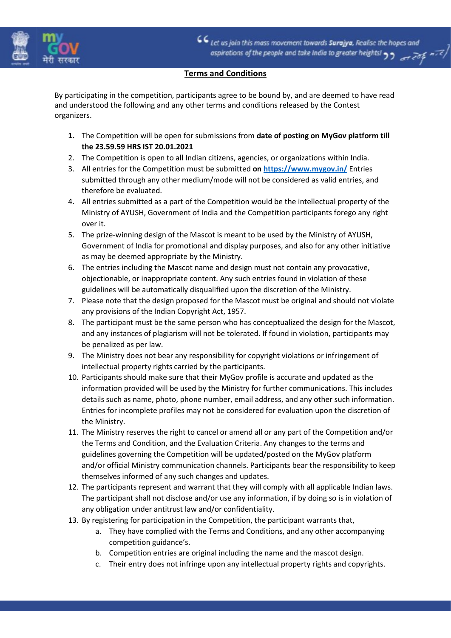

CC Let us join this mass movement towards Surajya, Realise the hopes and aspirations of the people and take India to greater heights!  $\rightarrow$ 

## Terms and Conditions

By participating in the competition, participants agree to be bound by, and are deemed to have read and understood the following and any other terms and conditions released by the Contest organizers.

- 1. The Competition will be open for submissions from date of posting on MyGov platform till the 23.59.59 HRS IST 20.01.2021
- 2. The Competition is open to all Indian citizens, agencies, or organizations within India.
- 3. All entries for the Competition must be submitted on https://www.mygov.in/ Entries submitted through any other medium/mode will not be considered as valid entries, and therefore be evaluated.
- 4. All entries submitted as a part of the Competition would be the intellectual property of the Ministry of AYUSH, Government of India and the Competition participants forego any right over it.
- 5. The prize-winning design of the Mascot is meant to be used by the Ministry of AYUSH, Government of India for promotional and display purposes, and also for any other initiative as may be deemed appropriate by the Ministry.
- 6. The entries including the Mascot name and design must not contain any provocative, objectionable, or inappropriate content. Any such entries found in violation of these guidelines will be automatically disqualified upon the discretion of the Ministry.
- 7. Please note that the design proposed for the Mascot must be original and should not violate any provisions of the Indian Copyright Act, 1957.
- 8. The participant must be the same person who has conceptualized the design for the Mascot, and any instances of plagiarism will not be tolerated. If found in violation, participants may be penalized as per law.
- 9. The Ministry does not bear any responsibility for copyright violations or infringement of intellectual property rights carried by the participants.
- 10. Participants should make sure that their MyGov profile is accurate and updated as the information provided will be used by the Ministry for further communications. This includes details such as name, photo, phone number, email address, and any other such information. Entries for incomplete profiles may not be considered for evaluation upon the discretion of the Ministry.
- 11. The Ministry reserves the right to cancel or amend all or any part of the Competition and/or the Terms and Condition, and the Evaluation Criteria. Any changes to the terms and guidelines governing the Competition will be updated/posted on the MyGov platform and/or official Ministry communication channels. Participants bear the responsibility to keep themselves informed of any such changes and updates.
- 12. The participants represent and warrant that they will comply with all applicable Indian laws. The participant shall not disclose and/or use any information, if by doing so is in violation of any obligation under antitrust law and/or confidentiality.
- 13. By registering for participation in the Competition, the participant warrants that,
	- a. They have complied with the Terms and Conditions, and any other accompanying competition guidance's.
	- b. Competition entries are original including the name and the mascot design.
	- c. Their entry does not infringe upon any intellectual property rights and copyrights.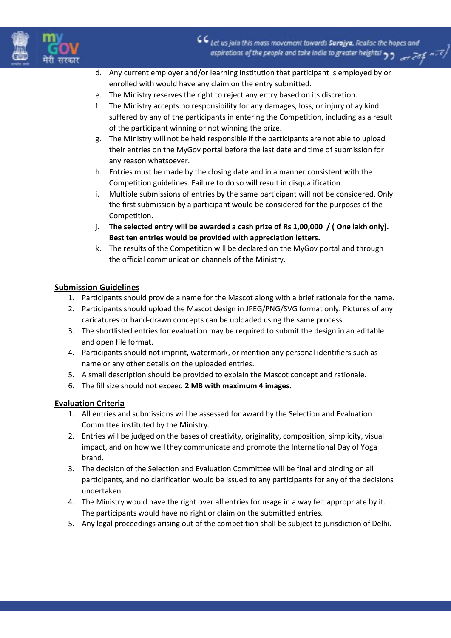

- d. Any current employer and/or learning institution that participant is employed by or enrolled with would have any claim on the entry submitted.
- e. The Ministry reserves the right to reject any entry based on its discretion.
- f. The Ministry accepts no responsibility for any damages, loss, or injury of ay kind suffered by any of the participants in entering the Competition, including as a result of the participant winning or not winning the prize.
- g. The Ministry will not be held responsible if the participants are not able to upload their entries on the MyGov portal before the last date and time of submission for any reason whatsoever.
- h. Entries must be made by the closing date and in a manner consistent with the Competition guidelines. Failure to do so will result in disqualification.
- i. Multiple submissions of entries by the same participant will not be considered. Only the first submission by a participant would be considered for the purposes of the Competition.
- j. The selected entry will be awarded a cash prize of Rs 1,00,000 / ( One lakh only). Best ten entries would be provided with appreciation letters.
- k. The results of the Competition will be declared on the MyGov portal and through the official communication channels of the Ministry.

## Submission Guidelines

- 1. Participants should provide a name for the Mascot along with a brief rationale for the name.
- 2. Participants should upload the Mascot design in JPEG/PNG/SVG format only. Pictures of any caricatures or hand-drawn concepts can be uploaded using the same process.
- 3. The shortlisted entries for evaluation may be required to submit the design in an editable and open file format.
- 4. Participants should not imprint, watermark, or mention any personal identifiers such as name or any other details on the uploaded entries.
- 5. A small description should be provided to explain the Mascot concept and rationale.
- 6. The fill size should not exceed 2 MB with maximum 4 images.

## Evaluation Criteria

- 1. All entries and submissions will be assessed for award by the Selection and Evaluation Committee instituted by the Ministry.
- 2. Entries will be judged on the bases of creativity, originality, composition, simplicity, visual impact, and on how well they communicate and promote the International Day of Yoga brand.
- 3. The decision of the Selection and Evaluation Committee will be final and binding on all participants, and no clarification would be issued to any participants for any of the decisions undertaken.
- 4. The Ministry would have the right over all entries for usage in a way felt appropriate by it. The participants would have no right or claim on the submitted entries.
- 5. Any legal proceedings arising out of the competition shall be subject to jurisdiction of Delhi.